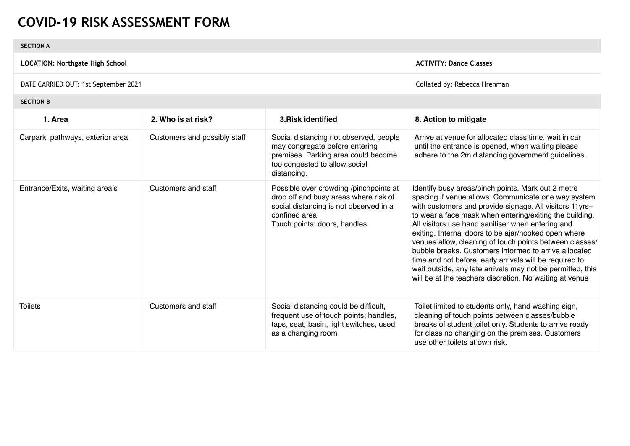## **COVID-19 RISK ASSESSMENT FORM**

## **SECTION A**

**LOCATION:** Northgate High School **ACTIVITY:** Dance Classes

DATE CARRIED OUT: 1st September 2021 Collated by: Rebecca Hrenman

| 1. Area                          | 2. Who is at risk?           | 3. Risk identified                                                                                                                                                          | 8. Action to mitigate                                                                                                                                                                                                                                                                                                                                                                                                                                                                                                                                                                                                                                |
|----------------------------------|------------------------------|-----------------------------------------------------------------------------------------------------------------------------------------------------------------------------|------------------------------------------------------------------------------------------------------------------------------------------------------------------------------------------------------------------------------------------------------------------------------------------------------------------------------------------------------------------------------------------------------------------------------------------------------------------------------------------------------------------------------------------------------------------------------------------------------------------------------------------------------|
| Carpark, pathways, exterior area | Customers and possibly staff | Social distancing not observed, people<br>may congregate before entering<br>premises. Parking area could become<br>too congested to allow social<br>distancing.             | Arrive at venue for allocated class time, wait in car<br>until the entrance is opened, when waiting please<br>adhere to the 2m distancing government guidelines.                                                                                                                                                                                                                                                                                                                                                                                                                                                                                     |
| Entrance/Exits, waiting area's   | Customers and staff          | Possible over crowding /pinchpoints at<br>drop off and busy areas where risk of<br>social distancing is not observed in a<br>confined area.<br>Touch points: doors, handles | Identify busy areas/pinch points. Mark out 2 metre<br>spacing if venue allows. Communicate one way system<br>with customers and provide signage. All visitors 11yrs+<br>to wear a face mask when entering/exiting the building.<br>All visitors use hand sanitiser when entering and<br>exiting. Internal doors to be ajar/hooked open where<br>venues allow, cleaning of touch points between classes/<br>bubble breaks. Customers informed to arrive allocated<br>time and not before, early arrivals will be required to<br>wait outside, any late arrivals may not be permitted, this<br>will be at the teachers discretion. No waiting at venue |
| <b>Toilets</b>                   | Customers and staff          | Social distancing could be difficult,<br>frequent use of touch points; handles,<br>taps, seat, basin, light switches, used<br>as a changing room                            | Toilet limited to students only, hand washing sign,<br>cleaning of touch points between classes/bubble<br>breaks of student toilet only. Students to arrive ready<br>for class no changing on the premises. Customers<br>use other toilets at own risk.                                                                                                                                                                                                                                                                                                                                                                                              |